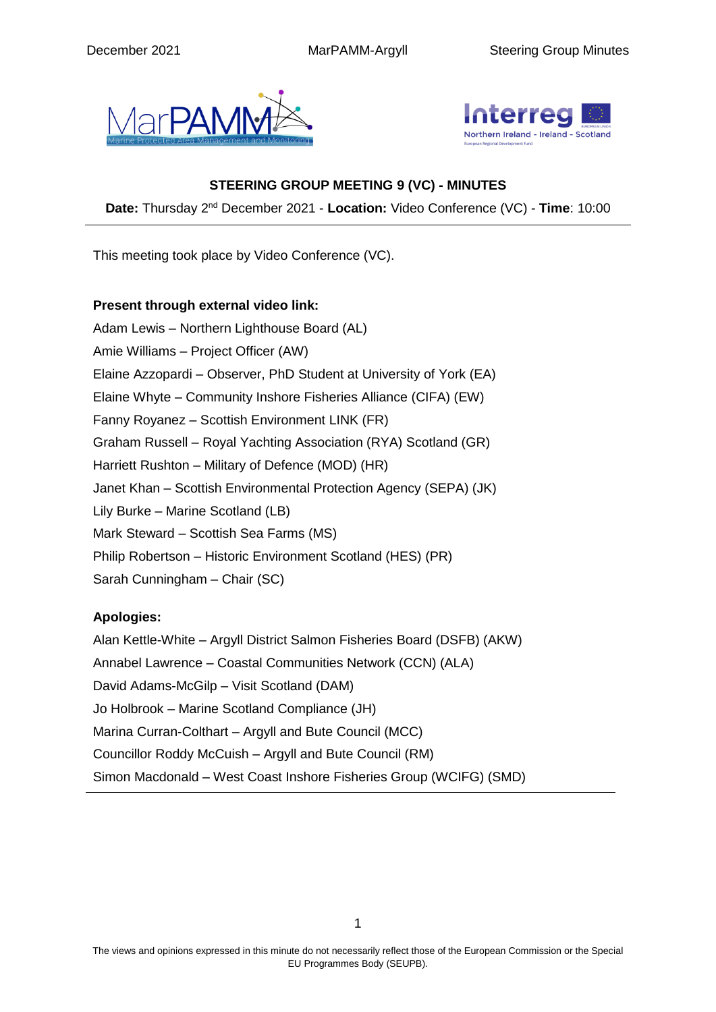



## **STEERING GROUP MEETING 9 (VC) - MINUTES**

Date: Thursday 2<sup>nd</sup> December 2021 - Location: Video Conference (VC) - Time: 10:00

This meeting took place by Video Conference (VC).

## **Present through external video link:**

Adam Lewis – Northern Lighthouse Board (AL) Amie Williams – Project Officer (AW) Elaine Azzopardi – Observer, PhD Student at University of York (EA) Elaine Whyte – Community Inshore Fisheries Alliance (CIFA) (EW) Fanny Royanez – Scottish Environment LINK (FR) Graham Russell – Royal Yachting Association (RYA) Scotland (GR) Harriett Rushton – Military of Defence (MOD) (HR) Janet Khan – Scottish Environmental Protection Agency (SEPA) (JK) Lily Burke – Marine Scotland (LB) Mark Steward – Scottish Sea Farms (MS) Philip Robertson – Historic Environment Scotland (HES) (PR) Sarah Cunningham – Chair (SC)

## **Apologies:**

Alan Kettle-White – Argyll District Salmon Fisheries Board (DSFB) (AKW) Annabel Lawrence – Coastal Communities Network (CCN) (ALA) David Adams-McGilp – Visit Scotland (DAM) Jo Holbrook – Marine Scotland Compliance (JH) Marina Curran-Colthart – Argyll and Bute Council (MCC) Councillor Roddy McCuish – Argyll and Bute Council (RM) Simon Macdonald – West Coast Inshore Fisheries Group (WCIFG) (SMD)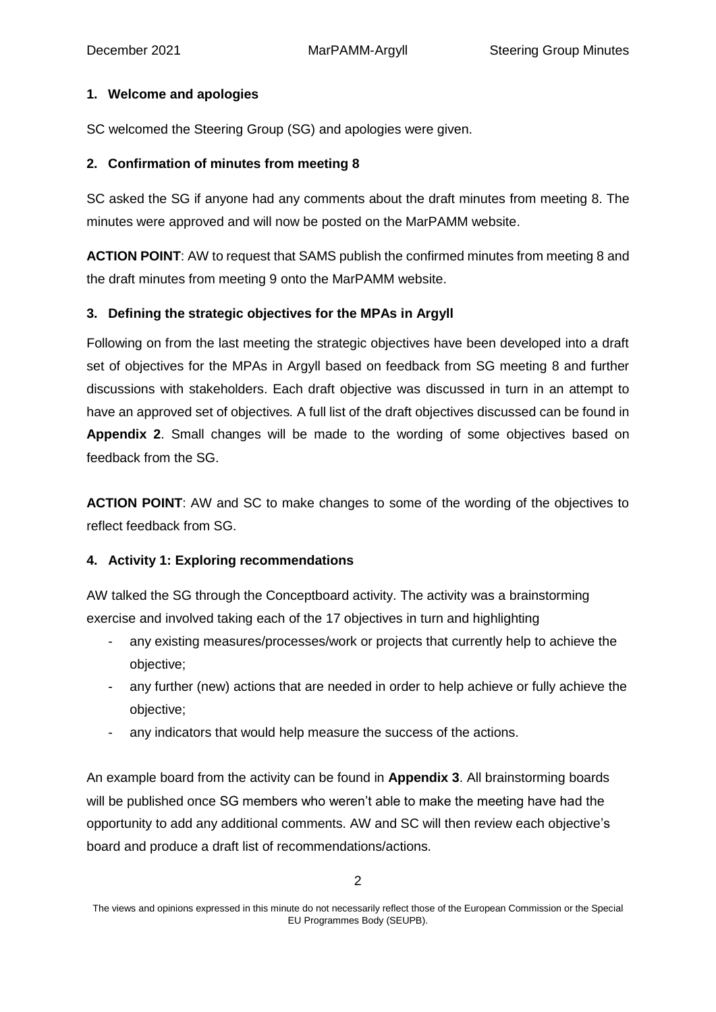## **1. Welcome and apologies**

SC welcomed the Steering Group (SG) and apologies were given.

## **2. Confirmation of minutes from meeting 8**

SC asked the SG if anyone had any comments about the draft minutes from meeting 8. The minutes were approved and will now be posted on the MarPAMM website.

**ACTION POINT**: AW to request that SAMS publish the confirmed minutes from meeting 8 and the draft minutes from meeting 9 onto the MarPAMM website.

## **3. Defining the strategic objectives for the MPAs in Argyll**

Following on from the last meeting the strategic objectives have been developed into a draft set of objectives for the MPAs in Argyll based on feedback from SG meeting 8 and further discussions with stakeholders. Each draft objective was discussed in turn in an attempt to have an approved set of objectives*.* A full list of the draft objectives discussed can be found in **Appendix 2**. Small changes will be made to the wording of some objectives based on feedback from the SG.

**ACTION POINT**: AW and SC to make changes to some of the wording of the objectives to reflect feedback from SG.

## **4. Activity 1: Exploring recommendations**

AW talked the SG through the Conceptboard activity. The activity was a brainstorming exercise and involved taking each of the 17 objectives in turn and highlighting

- any existing measures/processes/work or projects that currently help to achieve the objective;
- any further (new) actions that are needed in order to help achieve or fully achieve the objective;
- any indicators that would help measure the success of the actions.

An example board from the activity can be found in **Appendix 3**. All brainstorming boards will be published once SG members who weren't able to make the meeting have had the opportunity to add any additional comments. AW and SC will then review each objective's board and produce a draft list of recommendations/actions.

The views and opinions expressed in this minute do not necessarily reflect those of the European Commission or the Special EU Programmes Body (SEUPB).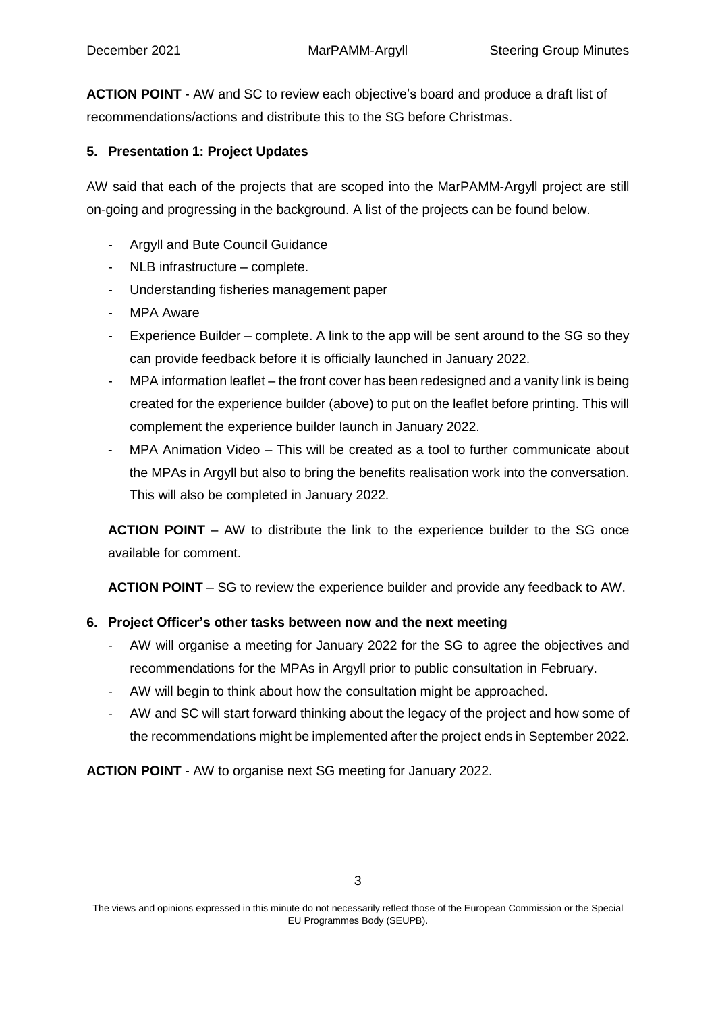**ACTION POINT** - AW and SC to review each objective's board and produce a draft list of recommendations/actions and distribute this to the SG before Christmas.

# **5. Presentation 1: Project Updates**

AW said that each of the projects that are scoped into the MarPAMM-Argyll project are still on-going and progressing in the background. A list of the projects can be found below.

- Argyll and Bute Council Guidance
- $NLB$  infrastructure complete.
- Understanding fisheries management paper
- MPA Aware
- Experience Builder complete. A link to the app will be sent around to the SG so they can provide feedback before it is officially launched in January 2022.
- MPA information leaflet the front cover has been redesigned and a vanity link is being created for the experience builder (above) to put on the leaflet before printing. This will complement the experience builder launch in January 2022.
- MPA Animation Video This will be created as a tool to further communicate about the MPAs in Argyll but also to bring the benefits realisation work into the conversation. This will also be completed in January 2022.

**ACTION POINT** – AW to distribute the link to the experience builder to the SG once available for comment.

**ACTION POINT** – SG to review the experience builder and provide any feedback to AW.

## **6. Project Officer's other tasks between now and the next meeting**

- AW will organise a meeting for January 2022 for the SG to agree the objectives and recommendations for the MPAs in Argyll prior to public consultation in February.
- AW will begin to think about how the consultation might be approached.
- AW and SC will start forward thinking about the legacy of the project and how some of the recommendations might be implemented after the project ends in September 2022.

**ACTION POINT** - AW to organise next SG meeting for January 2022.

The views and opinions expressed in this minute do not necessarily reflect those of the European Commission or the Special EU Programmes Body (SEUPB).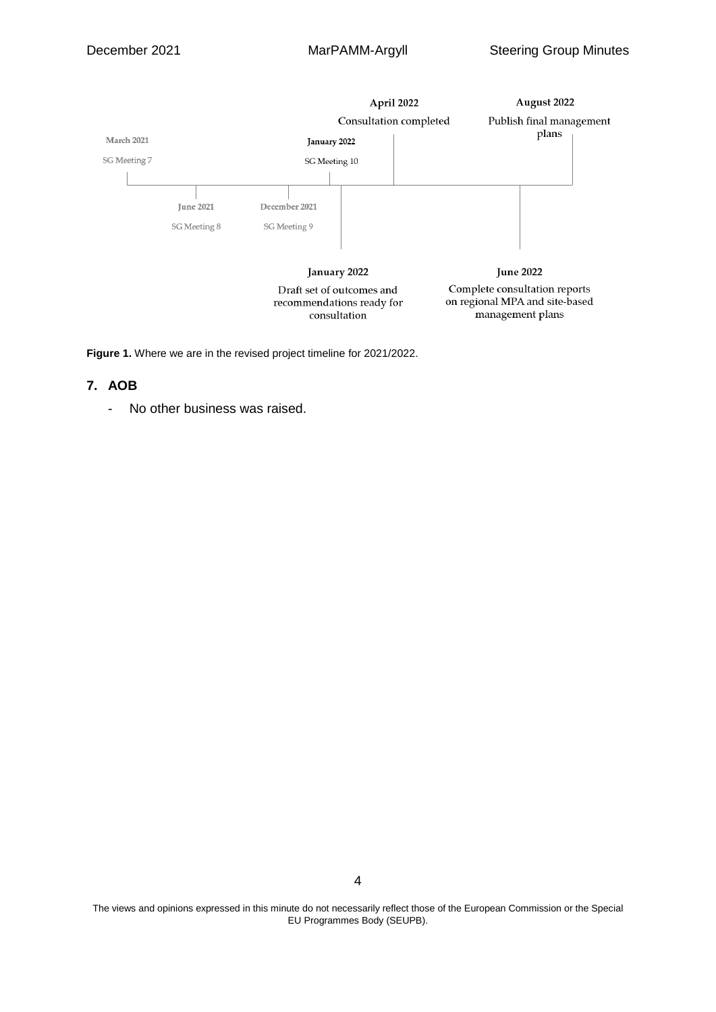

**Figure 1.** Where we are in the revised project timeline for 2021/2022.

#### **7. AOB**

- No other business was raised.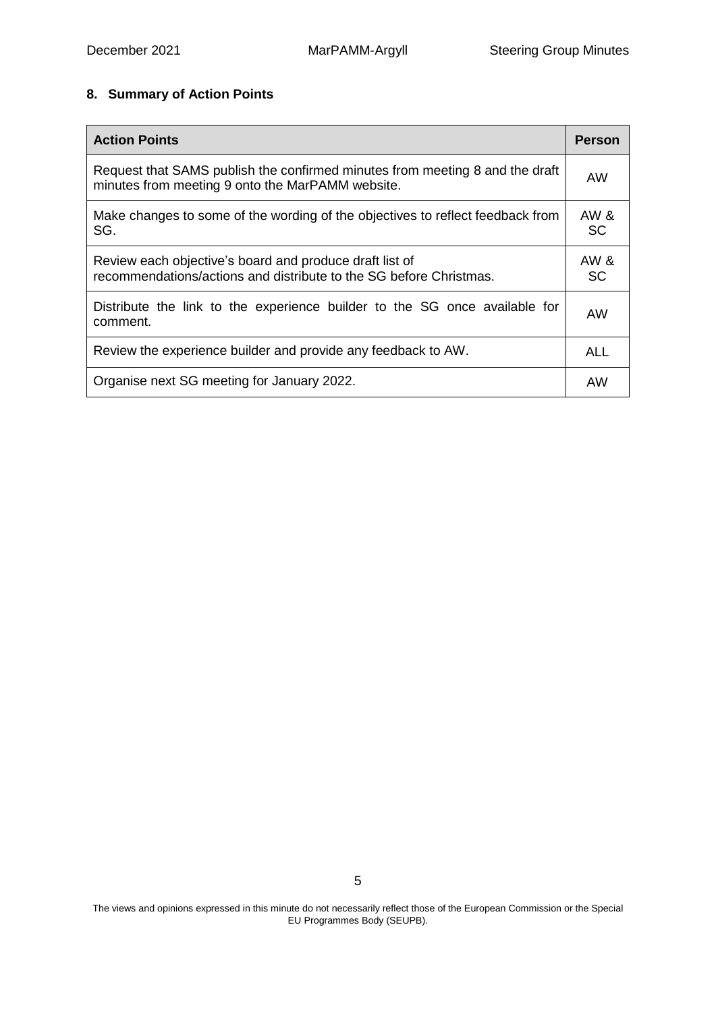# **8. Summary of Action Points**

| <b>Action Points</b>                                                                                                             | <b>Person</b> |
|----------------------------------------------------------------------------------------------------------------------------------|---------------|
| Request that SAMS publish the confirmed minutes from meeting 8 and the draft<br>minutes from meeting 9 onto the MarPAMM website. |               |
| Make changes to some of the wording of the objectives to reflect feedback from<br>SG.                                            |               |
| Review each objective's board and produce draft list of<br>recommendations/actions and distribute to the SG before Christmas.    | AW &<br>SC    |
| Distribute the link to the experience builder to the SG once available for<br>comment.                                           | AW            |
| Review the experience builder and provide any feedback to AW.                                                                    | ALL           |
| Organise next SG meeting for January 2022.                                                                                       |               |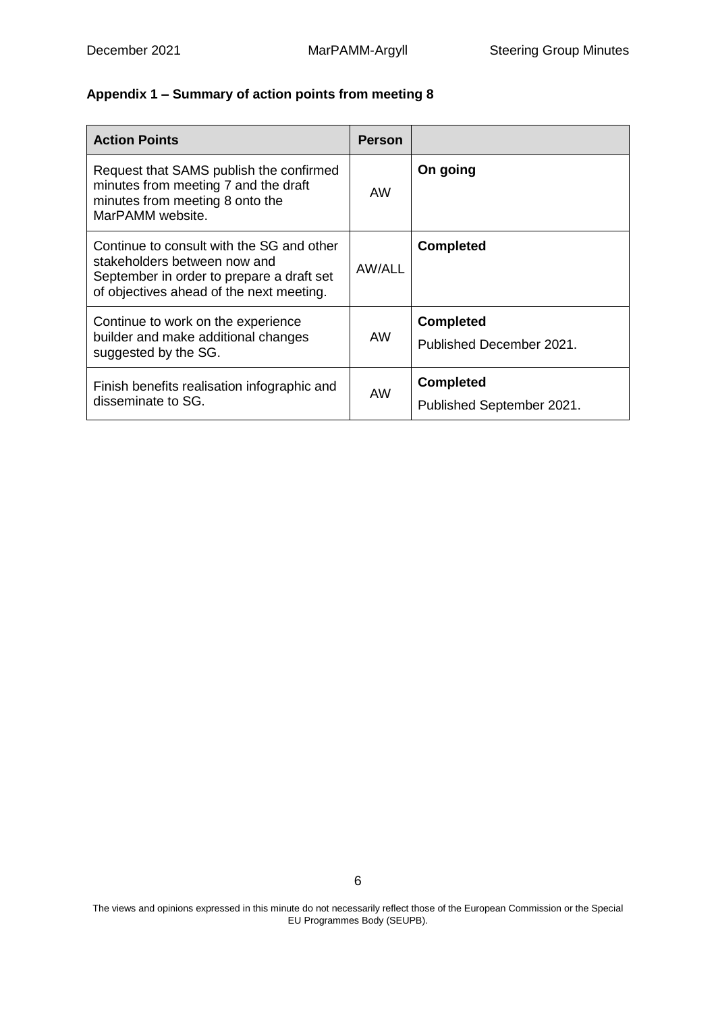# **Appendix 1 – Summary of action points from meeting 8**

| <b>Action Points</b>                                                                                                                                               | <b>Person</b> |                                               |
|--------------------------------------------------------------------------------------------------------------------------------------------------------------------|---------------|-----------------------------------------------|
| Request that SAMS publish the confirmed<br>minutes from meeting 7 and the draft<br>minutes from meeting 8 onto the<br>MarPAMM website.                             | AW            | On going                                      |
| Continue to consult with the SG and other<br>stakeholders between now and<br>September in order to prepare a draft set<br>of objectives ahead of the next meeting. | AW/ALL        | <b>Completed</b>                              |
| Continue to work on the experience<br>builder and make additional changes<br>suggested by the SG.                                                                  | AW            | <b>Completed</b><br>Published December 2021.  |
| Finish benefits realisation infographic and<br>disseminate to SG.                                                                                                  | AW            | <b>Completed</b><br>Published September 2021. |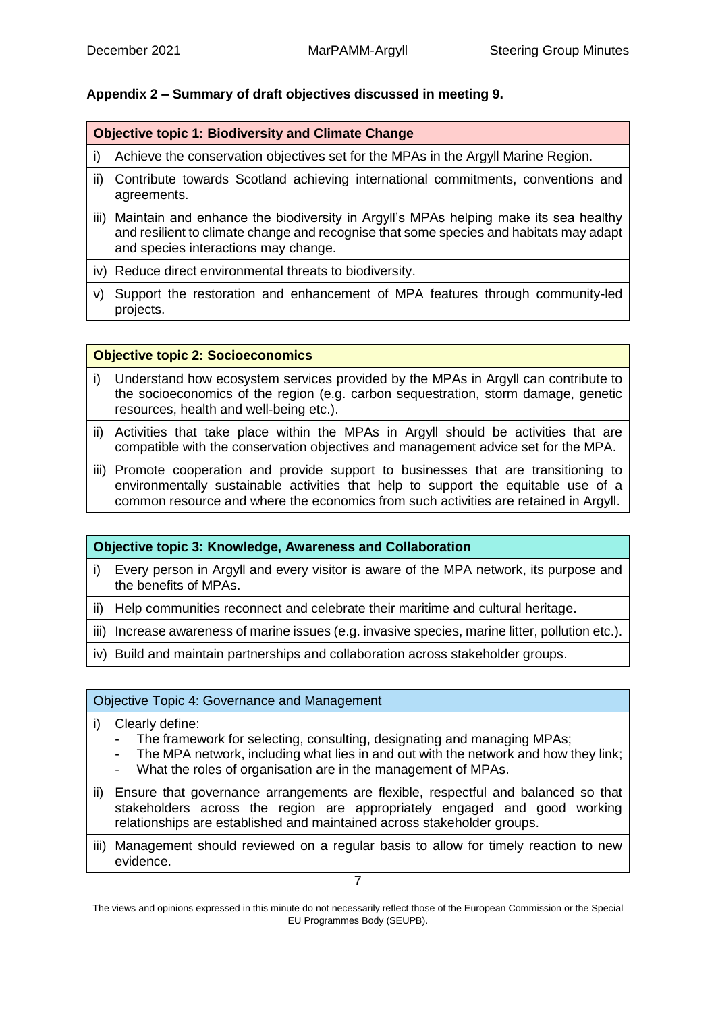## **Appendix 2 – Summary of draft objectives discussed in meeting 9.**

## **Objective topic 1: Biodiversity and Climate Change**

- i) Achieve the conservation objectives set for the MPAs in the Argyll Marine Region.
- ii) Contribute towards Scotland achieving international commitments, conventions and agreements.
- iii) Maintain and enhance the biodiversity in Argyll's MPAs helping make its sea healthy and resilient to climate change and recognise that some species and habitats may adapt and species interactions may change.
- iv) Reduce direct environmental threats to biodiversity.
- v) Support the restoration and enhancement of MPA features through community-led projects.

#### **Objective topic 2: Socioeconomics**

- i) Understand how ecosystem services provided by the MPAs in Argyll can contribute to the socioeconomics of the region (e.g. carbon sequestration, storm damage, genetic resources, health and well-being etc.).
- ii) Activities that take place within the MPAs in Argyll should be activities that are compatible with the conservation objectives and management advice set for the MPA.
- iii) Promote cooperation and provide support to businesses that are transitioning to environmentally sustainable activities that help to support the equitable use of a common resource and where the economics from such activities are retained in Argyll.

## **Objective topic 3: Knowledge, Awareness and Collaboration**

- i) Every person in Argyll and every visitor is aware of the MPA network, its purpose and the benefits of MPAs.
- ii) Help communities reconnect and celebrate their maritime and cultural heritage.
- iii) Increase awareness of marine issues (e.g. invasive species, marine litter, pollution etc.).
- iv) Build and maintain partnerships and collaboration across stakeholder groups.

## Objective Topic 4: Governance and Management

- i) Clearly define:
	- The framework for selecting, consulting, designating and managing MPAs;
	- The MPA network, including what lies in and out with the network and how they link;
	- What the roles of organisation are in the management of MPAs.
- ii) Ensure that governance arrangements are flexible, respectful and balanced so that stakeholders across the region are appropriately engaged and good working relationships are established and maintained across stakeholder groups.
- iii) Management should reviewed on a regular basis to allow for timely reaction to new evidence.

7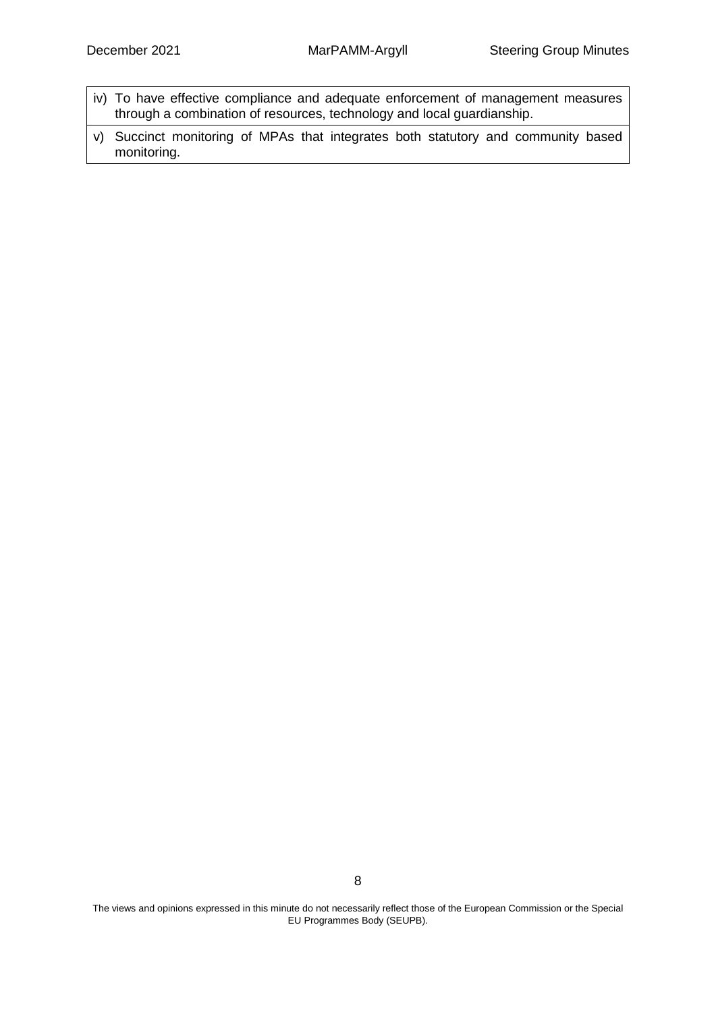- iv) To have effective compliance and adequate enforcement of management measures through a combination of resources, technology and local guardianship.
- v) Succinct monitoring of MPAs that integrates both statutory and community based monitoring.